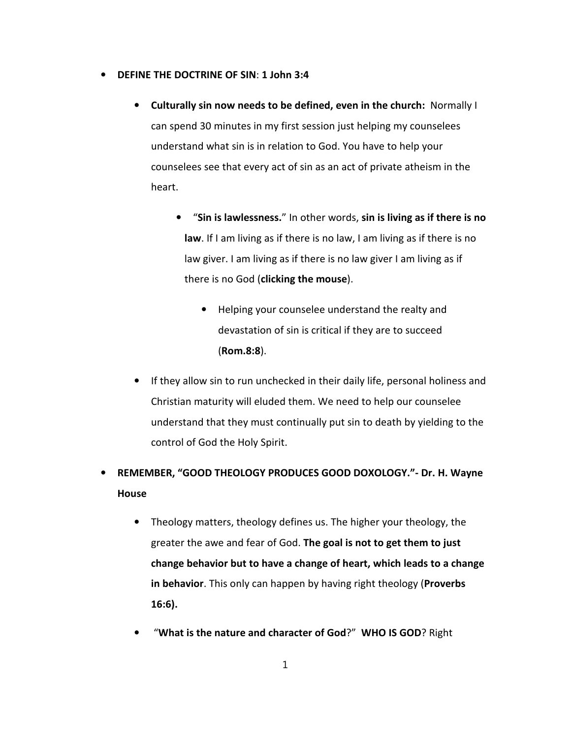- **DEFINE THE DOCTRINE OF SIN**: **1 John 3:4**
	- **Culturally sin now needs to be defined, even in the church:** Normally I can spend 30 minutes in my first session just helping my counselees understand what sin is in relation to God. You have to help your counselees see that every act of sin as an act of private atheism in the heart.
		- "**Sin is lawlessness.**" In other words, **sin is living as if there is no law**. If I am living as if there is no law, I am living as if there is no law giver. I am living as if there is no law giver I am living as if there is no God (**clicking the mouse**).
			- Helping your counselee understand the realty and devastation of sin is critical if they are to succeed (**Rom.8:8**).
	- If they allow sin to run unchecked in their daily life, personal holiness and Christian maturity will eluded them. We need to help our counselee understand that they must continually put sin to death by yielding to the control of God the Holy Spirit.

## • **REMEMBER, "GOOD THEOLOGY PRODUCES GOOD DOXOLOGY."- Dr. H. Wayne House**

- Theology matters, theology defines us. The higher your theology, the greater the awe and fear of God. **The goal is not to get them to just change behavior but to have a change of heart, which leads to a change in behavior**. This only can happen by having right theology (**Proverbs 16:6).**
- "**What is the nature and character of God**?" **WHO IS GOD**? Right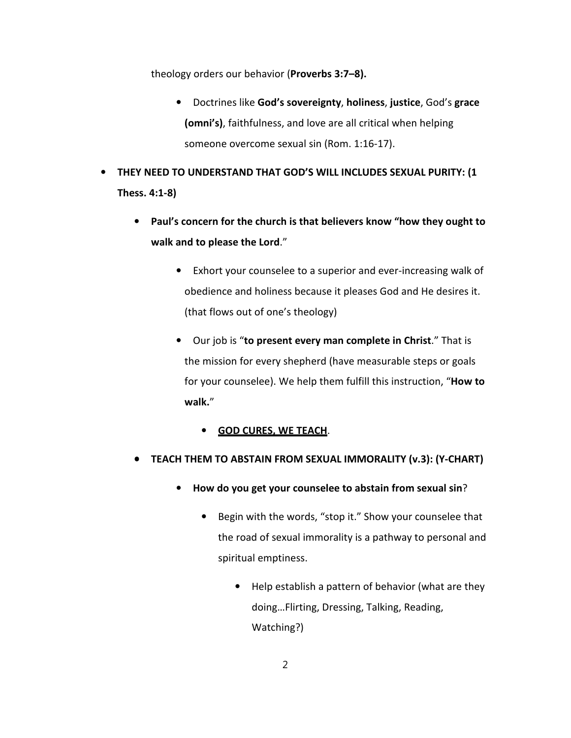theology orders our behavior (**Proverbs 3:7–8).**

- Doctrines like **God's sovereignty**, **holiness**, **justice**, God's **grace (omni's)**, faithfulness, and love are all critical when helping someone overcome sexual sin (Rom. 1:16-17).
- **THEY NEED TO UNDERSTAND THAT GOD'S WILL INCLUDES SEXUAL PURITY: (1 Thess. 4:1-8)**
	- **Paul's concern for the church is that believers know "how they ought to walk and to please the Lord**."
		- Exhort your counselee to a superior and ever-increasing walk of obedience and holiness because it pleases God and He desires it. (that flows out of one's theology)
		- Our job is "**to present every man complete in Christ**." That is the mission for every shepherd (have measurable steps or goals for your counselee). We help them fulfill this instruction, "**How to walk.**"

## • **GOD CURES, WE TEACH**.

- **TEACH THEM TO ABSTAIN FROM SEXUAL IMMORALITY (v.3): (Y-CHART)**
	- **How do you get your counselee to abstain from sexual sin**?
		- Begin with the words, "stop it." Show your counselee that the road of sexual immorality is a pathway to personal and spiritual emptiness.
			- Help establish a pattern of behavior (what are they doing…Flirting, Dressing, Talking, Reading, Watching?)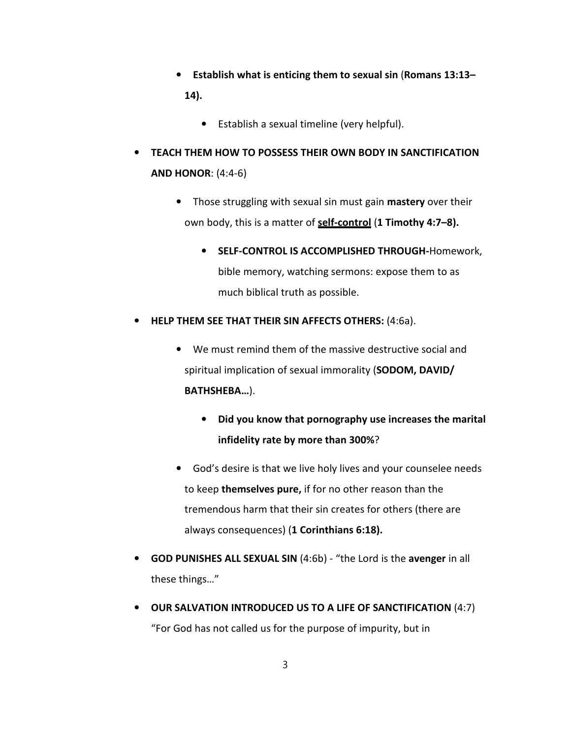- **Establish what is enticing them to sexual sin** (**Romans 13:13– 14).**
	- Establish a sexual timeline (very helpful).
- **TEACH THEM HOW TO POSSESS THEIR OWN BODY IN SANCTIFICATION AND HONOR**: (4:4-6)
	- Those struggling with sexual sin must gain **mastery** over their own body, this is a matter of **self-control** (**1 Timothy 4:7–8).** 
		- **SELF-CONTROL IS ACCOMPLISHED THROUGH-**Homework, bible memory, watching sermons: expose them to as much biblical truth as possible.
- **HELP THEM SEE THAT THEIR SIN AFFECTS OTHERS:** (4:6a).
	- We must remind them of the massive destructive social and spiritual implication of sexual immorality (**SODOM, DAVID/ BATHSHEBA…**).
		- **Did you know that pornography use increases the marital infidelity rate by more than 300%**?
	- God's desire is that we live holy lives and your counselee needs to keep **themselves pure,** if for no other reason than the tremendous harm that their sin creates for others (there are always consequences) (**1 Corinthians 6:18).**
- **GOD PUNISHES ALL SEXUAL SIN** (4:6b) "the Lord is the **avenger** in all these things…"
- **OUR SALVATION INTRODUCED US TO A LIFE OF SANCTIFICATION** (4:7) "For God has not called us for the purpose of impurity, but in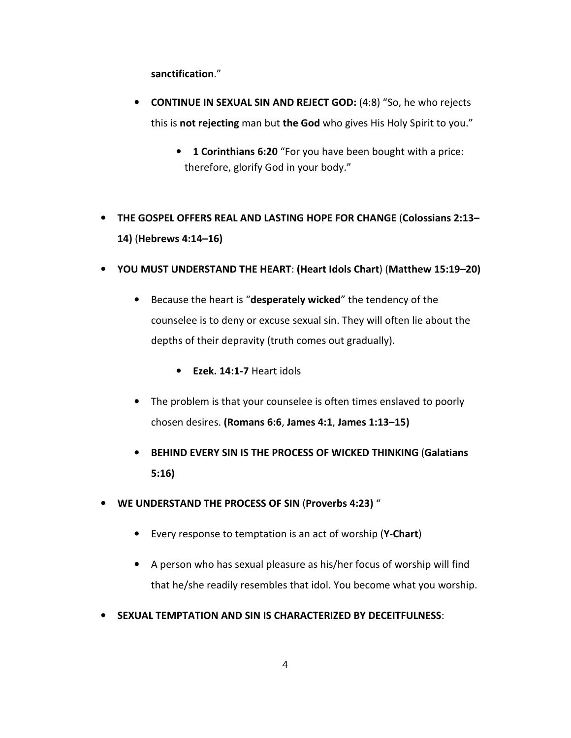**sanctification**."

- **CONTINUE IN SEXUAL SIN AND REJECT GOD:** (4:8) "So, he who rejects this is **not rejecting** man but **the God** who gives His Holy Spirit to you."
	- **1 Corinthians 6:20** "For you have been bought with a price: therefore, glorify God in your body."
- **THE GOSPEL OFFERS REAL AND LASTING HOPE FOR CHANGE** (**Colossians 2:13– 14)** (**Hebrews 4:14–16)**
- **YOU MUST UNDERSTAND THE HEART**: **(Heart Idols Chart**) (**Matthew 15:19–20)**
	- Because the heart is "**desperately wicked**" the tendency of the counselee is to deny or excuse sexual sin. They will often lie about the depths of their depravity (truth comes out gradually).
		- **Ezek. 14:1-7** Heart idols
	- The problem is that your counselee is often times enslaved to poorly chosen desires. **(Romans 6:6**, **James 4:1**, **James 1:13–15)**
	- **BEHIND EVERY SIN IS THE PROCESS OF WICKED THINKING** (**Galatians 5:16)**
- **WE UNDERSTAND THE PROCESS OF SIN** (**Proverbs 4:23)** "
	- Every response to temptation is an act of worship (**Y-Chart**)
	- A person who has sexual pleasure as his/her focus of worship will find that he/she readily resembles that idol. You become what you worship.
- **SEXUAL TEMPTATION AND SIN IS CHARACTERIZED BY DECEITFULNESS**: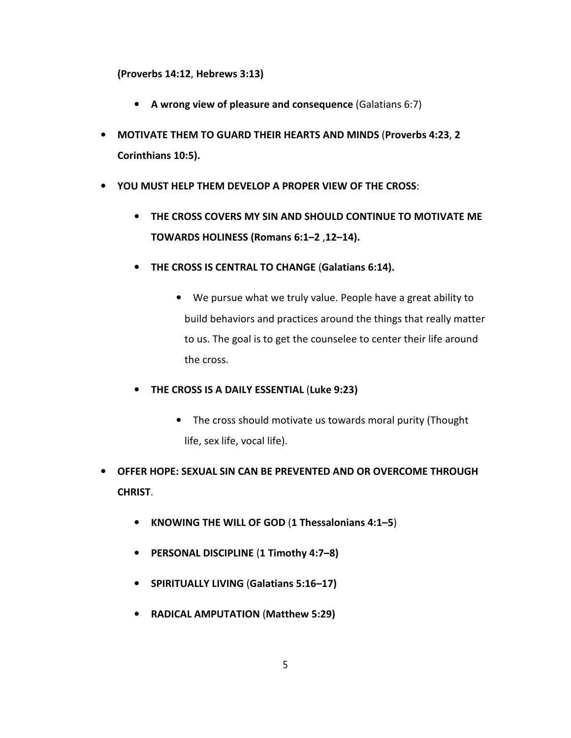**(Proverbs 14:12**, **Hebrews 3:13)**

- **A wrong view of pleasure and consequence** (Galatians 6:7)
- **MOTIVATE THEM TO GUARD THEIR HEARTS AND MINDS** (**Proverbs 4:23**, **2 Corinthians 10:5).**
- **YOU MUST HELP THEM DEVELOP A PROPER VIEW OF THE CROSS**:
	- **THE CROSS COVERS MY SIN AND SHOULD CONTINUE TO MOTIVATE ME TOWARDS HOLINESS (Romans 6:1–2** ,**12–14).**
	- **THE CROSS IS CENTRAL TO CHANGE** (**Galatians 6:14).**
		- We pursue what we truly value. People have a great ability to build behaviors and practices around the things that really matter to us. The goal is to get the counselee to center their life around the cross.
	- **THE CROSS IS A DAILY ESSENTIAL** (**Luke 9:23)**
		- The cross should motivate us towards moral purity (Thought life, sex life, vocal life).
- **OFFER HOPE: SEXUAL SIN CAN BE PREVENTED AND OR OVERCOME THROUGH CHRIST**.
	- **KNOWING THE WILL OF GOD** (**1 Thessalonians 4:1–5**)
	- **PERSONAL DISCIPLINE** (**1 Timothy 4:7–8)**
	- **SPIRITUALLY LIVING** (**Galatians 5:16–17)**
	- **RADICAL AMPUTATION** (**Matthew 5:29)**